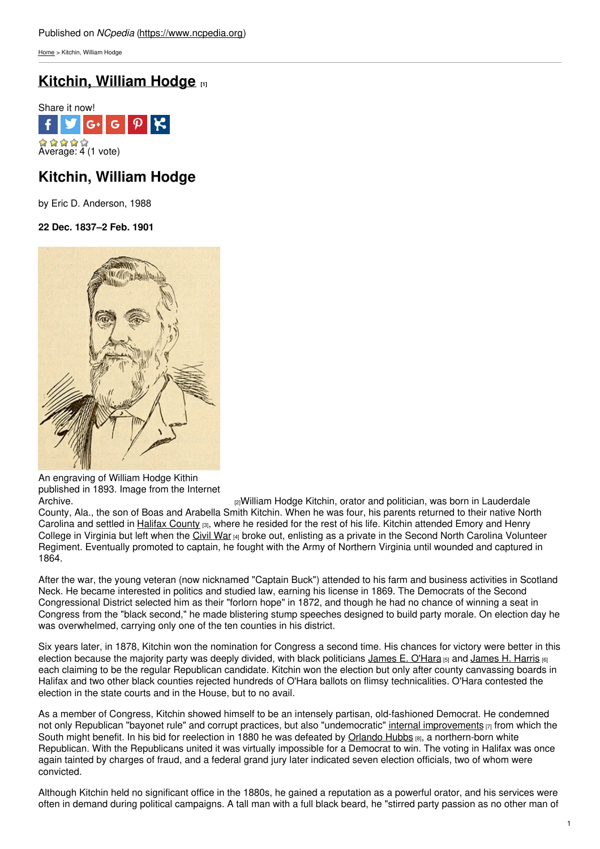[Home](https://www.ncpedia.org/) > Kitchin, William Hodge

# **[Kitchin,](https://www.ncpedia.org/biography/kitchin-william-hodge) William Hodge [1]**



# **Kitchin, William Hodge**

by Eric D. Anderson, 1988

**22 Dec. 1837–2 Feb. 1901**



An engraving of William Hodge Kithin published in 1893. Image from the Internet

<sup>[2]</sup> William Hodge Kitchin, orator and politician, was born in Lauderdale County, Ala., the son of Boas and Arabella Smith Kitchin. When he was four, his parents returned to their native North Carolina and settled in Halifax [County](https://www.ncpedia.org/geography/halifax) [3], where he resided for the rest of his life. Kitchin attended Emory and Henry College in Virginia but left when the [Civil](https://www.ncpedia.org/civil-war) War [4] broke out, enlisting as a private in the Second North Carolina Volunteer Regiment. Eventually promoted to captain, he fought with the Army of Northern Virginia until wounded and captured in 1864.

After the war, the young veteran (now nicknamed "Captain Buck") attended to his farm and business activities in Scotland Neck. He became interested in politics and studied law, earning his license in 1869. The Democrats of the Second Congressional District selected him as their "forlorn hope" in 1872, and though he had no chance of winning a seat in Congress from the "black second," he made blistering stump speeches designed to build party morale. On election day he was overwhelmed, carrying only one of the ten counties in his district.

Six years later, in 1878, Kitchin won the nomination for Congress a second time. His chances for victory were better in this election because the majority party was deeply divided, with black politicians [James](https://www.ncpedia.org/biography/harris-james-henry) E. O'Hara [5] and James H. Harris [6] each claiming to be the regular Republican candidate. Kitchin won the election but only after county canvassing boards in Halifax and two other black counties rejected hundreds of O'Hara ballots on flimsy technicalities. O'Hara contested the election in the state courts and in the House, but to no avail.

As a member of Congress, Kitchin showed himself to be an intensely partisan, old-fashioned Democrat. He condemned not only Republican "bayonet rule" and corrupt practices, but also "undemocratic" internal [improvements](https://www.ncpedia.org/internal-improvements-0)  $[7]$  from which the South might benefit. In his bid for reelection in 1880 he was defeated by [Orlando](https://www.ncpedia.org/biography/hubbs-orlando) Hubbs [8], a northern-born white Republican. With the Republicans united it was virtually impossible for a Democrat to win. The voting in Halifax was once again tainted by charges of fraud, and a federal grand jury later indicated seven election officials, two of whom were convicted.

Although Kitchin held no significant office in the 1880s, he gained a reputation as a powerful orator, and his services were often in demand during political campaigns. A tall man with a full black beard, he "stirred party passion as no other man of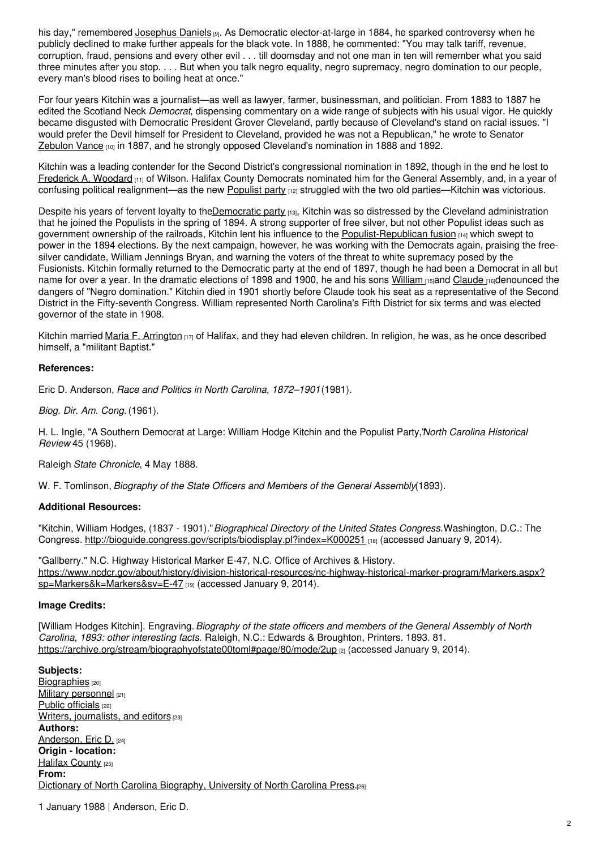his day," remembered [Josephus](https://www.ncpedia.org/biography/daniels-josephus-dncb) Daniels [9]. As Democratic elector-at-large in 1884, he sparked controversy when he publicly declined to make further appeals for the black vote. In 1888, he commented: "You may talk tariff, revenue, corruption, fraud, pensions and every other evil . . . till doomsday and not one man in ten will remember what you said three minutes after you stop. . . . But when you talk negro equality, negro supremacy, negro domination to our people, every man's blood rises to boiling heat at once."

For four years Kitchin was a journalist—as well as lawyer, farmer, businessman, and politician. From 1883 to 1887 he edited the Scotland Neck *Democrat*, dispensing commentary on a wide range of subjects with his usual vigor. He quickly became disgusted with Democratic President Grover Cleveland, partly because of Cleveland's stand on racial issues. "I would prefer the Devil himself for President to Cleveland, provided he was not a Republican," he wrote to Senator [Zebulon](https://www.ncpedia.org/biography/vance-zebulon-baird) Vance [10] in 1887, and he strongly opposed Cleveland's nomination in 1888 and 1892.

Kitchin was a leading contender for the Second District's congressional nomination in 1892, though in the end he lost to [Frederick](https://www.ncpedia.org/biography/woodard-frederick) A. Woodard [11] of Wilson. Halifax County Democrats nominated him for the General Assembly, and, in a year of confusing political realignment—as the new [Populist](https://www.ncpedia.org/populist-party) party [12] struggled with the two old parties—Kitchin was victorious.

Despite his years of fervent loyalty to the*Democratic party [13]*, Kitchin was so distressed by the Cleveland administration that he joined the Populists in the spring of 1894. A strong supporter of free silver, but not other Populist ideas such as government ownership of the railroads, Kitchin lent his influence to the [Populist-Republican](https://www.ncpedia.org/fusion-republicans-and-populists) fusion [14] which swept to power in the 1894 elections. By the next campaign, however, he was working with the Democrats again, praising the freesilver candidate, William Jennings Bryan, and warning the voters of the threat to white supremacy posed by the Fusionists. Kitchin formally returned to the Democratic party at the end of 1897, though he had been a Democrat in all but name for over a year. In the dramatic elections of 1898 and 1900, he and his sons [William](https://www.ncpedia.org/biography/kitchin-william-walton) <sub>[15]</sub>and [Claude](https://www.ncpedia.org/biography/kitchin-claude) <sub>[16]</sub>denounced the dangers of "Negro domination." Kitchin died in 1901 shortly before Claude took his seat as a representative of the Second District in the Fifty-seventh Congress. William represented North Carolina's Fifth District for six terms and was elected governor of the state in 1908.

Kitchin married Maria F. [Arrington](http://books.google.com/books?id=a7tx6lhj-CkC&pg=PA11#v=onepage&q&f=false) [17] of Halifax, and they had eleven children. In religion, he was, as he once described himself, a "militant Baptist."

## **References:**

Eric D. Anderson, *Race and Politics in North Carolina, 1872–1901*(1981).

*Biog. Dir. Am. Cong.* (1961).

H. L. Ingle, "A Southern Democrat at Large: William Hodge Kitchin and the Populist Party,"*North Carolina Historical Review* 45 (1968).

Raleigh *State Chronicle*, 4 May 1888.

W. F. Tomlinson, *Biography of the State Officers and Members of the General Assembly*(1893).

## **Additional Resources:**

"Kitchin, William Hodges, (1837 - 1901)."*Biographical Directory of the United States Congress.*Washington, D.C.: The Congress. <http://bioguide.congress.gov/scripts/biodisplay.pl?index=K000251> [18] (accessed January 9, 2014).

"Gallberry." N.C. Highway Historical Marker E-47, N.C. Office of Archives & History. [https://www.ncdcr.gov/about/history/division-historical-resources/nc-highway-historical-marker-program/Markers.aspx?](https://www.ncdcr.gov/about/history/division-historical-resources/nc-highway-historical-marker-program/Markers.aspx?sp=Markers&k=Markers&sv=E-47) sp=Markers&k=Markers&sv=E-47 [19] (accessed January 9, 2014).

### **Image Credits:**

[William Hodges Kitchin]. Engraving.*Biography of the state officers and members of the General Assembly of North Carolina, 1893: other interesting facts.* Raleigh, N.C.: Edwards & Broughton, Printers. 1893. 81. <https://archive.org/stream/biographyofstate00toml#page/80/mode/2up> [2] (accessed January 9, 2014).

**Subjects:** [Biographies](https://www.ncpedia.org/category/subjects/biography-term) [20] Military [personnel](https://www.ncpedia.org/category/subjects/soldiers) [21] Public [officials](https://www.ncpedia.org/category/subjects/public-officials) [22] Writers, [journalists,](https://www.ncpedia.org/category/subjects/writer) and editors [23] **Authors:** [Anderson,](https://www.ncpedia.org/category/authors/anderson-eric-d) Eric D. [24] **Origin - location:** Halifax [County](https://www.ncpedia.org/category/origin-location/coastal-30) [25] **From:** Dictionary of North Carolina [Biography,](https://www.ncpedia.org/category/entry-source/dictionary-no) University of North Carolina Press.[26]

1 January 1988 | Anderson, Eric D.